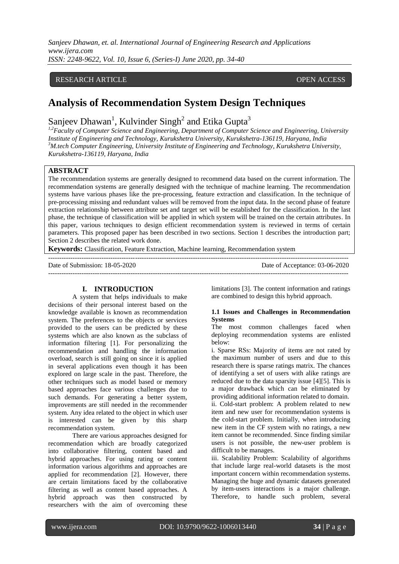*Sanjeev Dhawan, et. al. International Journal of Engineering Research and Applications www.ijera.com ISSN: 2248-9622, Vol. 10, Issue 6, (Series-I) June 2020, pp. 34-40*

## RESEARCH ARTICLE **CONSERVERS** OPEN ACCESS

# **Analysis of Recommendation System Design Techniques**

Sanjeev Dhawan<sup>1</sup>, Kulvinder Singh<sup>2</sup> and Etika Gupta<sup>3</sup>

*1,2Faculty of Computer Science and Engineering, Department of Computer Science and Engineering, University Institute of Engineering and Technology, Kurukshetra University, Kurukshetra-136119, Haryana, India <sup>3</sup>M.tech Computer Engineering, University Institute of Engineering and Technology, Kurukshetra University, Kurukshetra-136119, Haryana, India*

#### **ABSTRACT**

The recommendation systems are generally designed to recommend data based on the current information. The recommendation systems are generally designed with the technique of machine learning. The recommendation systems have various phases like the pre-processing, feature extraction and classification. In the technique of pre-processing missing and redundant values will be removed from the input data. In the second phase of feature extraction relationship between attribute set and target set will be established for the classification. In the last phase, the technique of classification will be applied in which system will be trained on the certain attributes. In this paper, various techniques to design efficient recommendation system is reviewed in terms of certain parameters. This proposed paper has been described in two sections. Section 1 describes the introduction part; Section 2 describes the related work done.

**Keywords:** Classification, Feature Extraction, Machine learning, Recommendation system ---------------------------------------------------------------------------------------------------------------------------------------

Date of Submission: 18-05-2020 Date of Acceptance: 03-06-2020

---------------------------------------------------------------------------------------------------------------------------------------

### **I. INTRODUCTION**

A system that helps individuals to make decisions of their personal interest based on the knowledge available is known as recommendation system. The preferences to the objects or services provided to the users can be predicted by these systems which are also known as the subclass of information filtering [1]. For personalizing the recommendation and handling the information overload, search is still going on since it is applied in several applications even though it has been explored on large scale in the past. Therefore, the other techniques such as model based or memory based approaches face various challenges due to such demands. For generating a better system, improvements are still needed in the recommender system. Any idea related to the object in which user is interested can be given by this sharp recommendation system.

There are various approaches designed for recommendation which are broadly categorized into collaborative filtering, content based and hybrid approaches. For using rating or content information various algorithms and approaches are applied for recommendation [2]. However, there are certain limitations faced by the collaborative filtering as well as content based approaches. A hybrid approach was then constructed by researchers with the aim of overcoming these limitations [3]. The content information and ratings are combined to design this hybrid approach.

#### **1.1 Issues and Challenges in Recommendation Systems**

The most common challenges faced when deploying recommendation systems are enlisted below:

i. Sparse RSs: Majority of items are not rated by the maximum number of users and due to this research there is sparse ratings matrix. The chances of identifying a set of users with alike ratings are reduced due to the data sparsity issue [4][5]. This is a major drawback which can be eliminated by providing additional information related to domain. ii. Cold-start problem: A problem related to new item and new user for recommendation systems is the cold-start problem. Initially, when introducing new item in the CF system with no ratings, a new item cannot be recommended. Since finding similar users is not possible, the new-user problem is difficult to be manages.

iii. Scalability Problem: Scalability of algorithms that include large real-world datasets is the most important concern within recommendation systems. Managing the huge and dynamic datasets generated by item-users interactions is a major challenge. Therefore, to handle such problem, several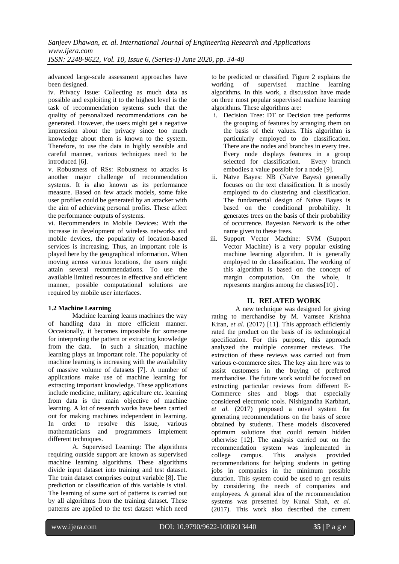advanced large-scale assessment approaches have been designed.

iv. Privacy Issue: Collecting as much data as possible and exploiting it to the highest level is the task of recommendation systems such that the quality of personalized recommendations can be generated. However, the users might get a negative impression about the privacy since too much knowledge about them is known to the system. Therefore, to use the data in highly sensible and careful manner, various techniques need to be introduced [6].

v. Robustness of RSs: Robustness to attacks is another major challenge of recommendation systems. It is also known as its performance measure. Based on few attack models, some fake user profiles could be generated by an attacker with the aim of achieving personal profits. These affect the performance outputs of systems.

vi. Recommenders in Mobile Devices: With the increase in development of wireless networks and mobile devices, the popularity of location-based services is increasing. Thus, an important role is played here by the geographical information. When moving across various locations, the users might attain several recommendations. To use the available limited resources in effective and efficient manner, possible computational solutions are required by mobile user interfaces.

# **1.2 Machine Learning**

Machine learning learns machines the way of handling data in more efficient manner. Occasionally, it becomes impossible for someone for interpreting the pattern or extracting knowledge from the data. In such a situation, machine learning plays an important role. The popularity of machine learning is increasing with the availability of massive volume of datasets [7]. A number of applications make use of machine learning for extracting important knowledge. These applications include medicine, military; agriculture etc. learning from data is the main objective of machine learning. A lot of research works have been carried out for making machines independent in learning. In order to resolve this issue, various mathematicians and programmers implement different techniques.

A. Supervised Learning: The algorithms requiring outside support are known as supervised machine learning algorithms. These algorithms divide input dataset into training and test dataset. The train dataset comprises output variable [8]. The prediction or classification of this variable is vital. The learning of some sort of patterns is carried out by all algorithms from the training dataset. These patterns are applied to the test dataset which need to be predicted or classified. Figure 2 explains the working of supervised machine learning algorithms. In this work, a discussion have made on three most popular supervised machine learning algorithms. These algorithms are:

- i. Decision Tree: DT or Decision tree performs the grouping of features by arranging them on the basis of their values. This algorithm is particularly employed to do classification. There are the nodes and branches in every tree. Every node displays features in a group selected for classification. Every branch embodies a value possible for a node [9].
- ii. Naïve Bayes: NB (Naïve Bayes) generally focuses on the text classification. It is mostly employed to do clustering and classification. The fundamental design of Naïve Bayes is based on the conditional probability. It generates trees on the basis of their probability of occurrence. Bayesian Network is the other name given to these trees.
- iii. Support Vector Machine: SVM (Support Vector Machine) is a very popular existing machine learning algorithm. It is generally employed to do classification. The working of this algorithm is based on the concept of margin computation. On the whole, it represents margins among the classes[10] .

# **II. RELATED WORK**

A new technique was designed for giving rating to merchandise by M. Vamsee Krishna Kiran, *et al.* (2017) [11]. This approach efficiently rated the product on the basis of its technological specification. For this purpose, this approach analyzed the multiple consumer reviews. The extraction of these reviews was carried out from various e-commerce sites. The key aim here was to assist customers in the buying of preferred merchandise. The future work would be focused on extracting particular reviews from different E-Commerce sites and blogs that especially considered electronic tools. Nishigandha Karbhari, *et al.* (2017) proposed a novel system for generating recommendations on the basis of score obtained by students. These models discovered optimum solutions that could remain hidden otherwise [12]. The analysis carried out on the recommendation system was implemented in college campus. This analysis provided recommendations for helping students in getting jobs in companies in the minimum possible duration. This system could be used to get results by considering the needs of companies and employees. A general idea of the recommendation systems was presented by Kunal Shah, *et al.* (2017). This work also described the current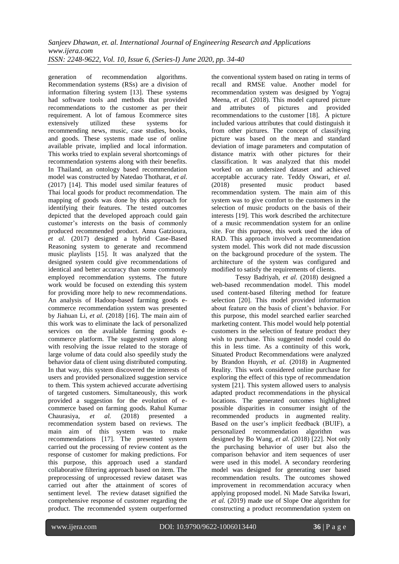generation of recommendation algorithms. Recommendation systems (RSs) are a division of information filtering system [13]. These systems had software tools and methods that provided recommendations to the customer as per their requirement. A lot of famous Ecommerce sites<br>extensively utilized these systems for extensively utilized these systems for recommending news, music, case studies, books, and goods. These systems made use of online available private, implied and local information. This works tried to explain several shortcomings of recommendation systems along with their benefits. In Thailand, an ontology based recommendation model was constructed by Natedao Thotharat, *et al.* (2017) [14]. This model used similar features of Thai local goods for product recommendation. The mapping of goods was done by this approach for identifying their features. The tested outcomes depicted that the developed approach could gain customer's interests on the basis of commonly produced recommended product. Anna Gatzioura, *et al.* (2017) designed a hybrid Case-Based Reasoning system to generate and recommend music playlists [15]. It was analyzed that the designed system could give recommendations of identical and better accuracy than some commonly employed recommendation systems. The future work would be focused on extending this system for providing more help to new recommendations. An analysis of Hadoop-based farming goods ecommerce recommendation system was presented by Jiahuan Li, *et al.* (2018) [16]. The main aim of this work was to eliminate the lack of personalized services on the available farming goods ecommerce platform. The suggested system along with resolving the issue related to the storage of large volume of data could also speedily study the behavior data of client using distributed computing. In that way, this system discovered the interests of users and provided personalized suggestion service to them. This system achieved accurate advertising of targeted customers. Simultaneously, this work provided a suggestion for the evolution of ecommerce based on farming goods. Rahul Kumar Chaurasiya, *et al.* (2018) presented a recommendation system based on reviews. The main aim of this system was to make recommendations [17]. The presented system carried out the processing of review content as the response of customer for making predictions. For this purpose, this approach used a standard collaborative filtering approach based on item. The preprocessing of unprocessed review dataset was carried out after the attainment of scores of sentiment level. The review dataset signified the comprehensive response of customer regarding the product. The recommended system outperformed

the conventional system based on rating in terms of recall and RMSE value. Another model for recommendation system was designed by Yograj Meena, *et al.* (2018). This model captured picture and attributes of pictures and provided recommendations to the customer [18]. A picture included various attributes that could distinguish it from other pictures. The concept of classifying picture was based on the mean and standard deviation of image parameters and computation of distance matrix with other pictures for their classification. It was analyzed that this model worked on an undersized dataset and achieved acceptable accuracy rate. Teddy Oswari, *et al.* (2018) presented music product based recommendation system. The main aim of this system was to give comfort to the customers in the selection of music products on the basis of their interests [19]. This work described the architecture of a music recommendation system for an online site. For this purpose, this work used the idea of RAD. This approach involved a recommendation system model. This work did not made discussion on the background procedure of the system. The architecture of the system was configured and modified to satisfy the requirements of clients.

Tessy Badriyah, *et al.* (2018) designed a web-based recommendation model. This model used content-based filtering method for feature selection [20]. This model provided information about feature on the basis of client's behavior. For this purpose, this model searched earlier searched marketing content. This model would help potential customers in the selection of feature product they wish to purchase. This suggested model could do this in less time. As a continuity of this work, Situated Product Recommendations were analyzed by Brandon Huynh, *et al.* (2018) in Augmented Reality. This work considered online purchase for exploring the effect of this type of recommendation system [21]. This system allowed users to analysis adapted product recommendations in the physical locations. The generated outcomes highlighted possible disparities in consumer insight of the recommended products in augmented reality. Based on the user's implicit feedback (BUIF), a personalized recommendation algorithm was designed by Bo Wang, *et al.* (2018) [22]. Not only the purchasing behavior of user but also the comparison behavior and item sequences of user were used in this model. A secondary reordering model was designed for generating user based recommendation results. The outcomes showed improvement in recommendation accuracy when applying proposed model. Ni Made Satvika Iswari, *et al.* (2019) made use of Slope One algorithm for constructing a product recommendation system on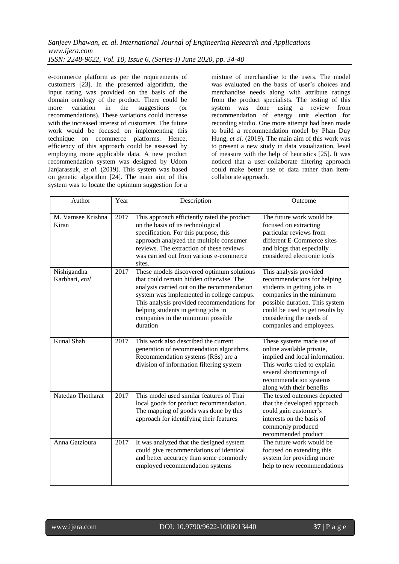e-commerce platform as per the requirements of customers [23]. In the presented algorithm, the input rating was provided on the basis of the domain ontology of the product. There could be more variation in the suggestions (or recommendations). These variations could increase with the increased interest of customers. The future work would be focused on implementing this technique on ecommerce platforms. Hence, efficiency of this approach could be assessed by employing more applicable data. A new product recommendation system was designed by Udom Janjarassuk, *et al.* (2019). This system was based on genetic algorithm [24]. The main aim of this system was to locate the optimum suggestion for a

mixture of merchandise to the users. The model was evaluated on the basis of user's choices and merchandise needs along with attribute ratings from the product specialists. The testing of this system was done using a review from recommendation of energy unit election for recording studio. One more attempt had been made to build a recommendation model by Phan Duy Hung, *et al.* (2019). The main aim of this work was to present a new study in data visualization, level of measure with the help of heuristics [25]. It was noticed that a user-collaborate filtering approach could make better use of data rather than itemcollaborate approach.

| Author                        | Year | Description                                                                                                                                                                                                                                                                                                           | Outcome                                                                                                                                                                                                                                       |
|-------------------------------|------|-----------------------------------------------------------------------------------------------------------------------------------------------------------------------------------------------------------------------------------------------------------------------------------------------------------------------|-----------------------------------------------------------------------------------------------------------------------------------------------------------------------------------------------------------------------------------------------|
| M. Vamsee Krishna<br>Kiran    | 2017 | This approach efficiently rated the product<br>on the basis of its technological<br>specification. For this purpose, this<br>approach analyzed the multiple consumer<br>reviews. The extraction of these reviews<br>was carried out from various e-commerce<br>sites.                                                 | The future work would be<br>focused on extracting<br>particular reviews from<br>different E-Commerce sites<br>and blogs that especially<br>considered electronic tools                                                                        |
| Nishigandha<br>Karbhari, etal | 2017 | These models discovered optimum solutions<br>that could remain hidden otherwise. The<br>analysis carried out on the recommendation<br>system was implemented in college campus.<br>This analysis provided recommendations for<br>helping students in getting jobs in<br>companies in the minimum possible<br>duration | This analysis provided<br>recommendations for helping<br>students in getting jobs in<br>companies in the minimum<br>possible duration. This system<br>could be used to get results by<br>considering the needs of<br>companies and employees. |
| Kunal Shah                    | 2017 | This work also described the current<br>generation of recommendation algorithms.<br>Recommendation systems (RSs) are a<br>division of information filtering system                                                                                                                                                    | These systems made use of<br>online available private,<br>implied and local information.<br>This works tried to explain<br>several shortcomings of<br>recommendation systems<br>along with their benefits                                     |
| Natedao Thotharat             | 2017 | This model used similar features of Thai<br>local goods for product recommendation.<br>The mapping of goods was done by this<br>approach for identifying their features                                                                                                                                               | The tested outcomes depicted<br>that the developed approach<br>could gain customer's<br>interests on the basis of<br>commonly produced<br>recommended product                                                                                 |
| Anna Gatzioura                | 2017 | It was analyzed that the designed system<br>could give recommendations of identical<br>and better accuracy than some commonly<br>employed recommendation systems                                                                                                                                                      | The future work would be<br>focused on extending this<br>system for providing more<br>help to new recommendations                                                                                                                             |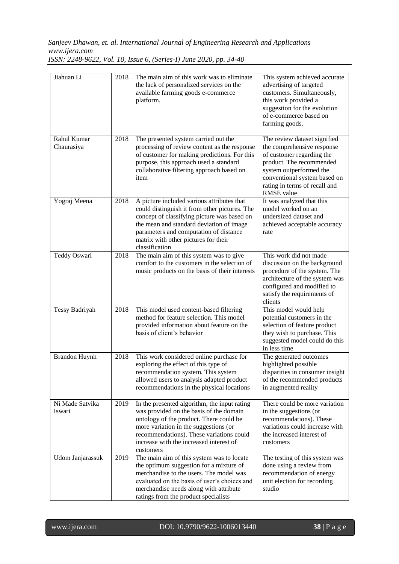*Sanjeev Dhawan, et. al. International Journal of Engineering Research and Applications www.ijera.com*

| Jiahuan Li                | 2018 | The main aim of this work was to eliminate<br>the lack of personalized services on the<br>available farming goods e-commerce<br>platform.                                                                                                                                                  | This system achieved accurate<br>advertising of targeted<br>customers. Simultaneously,<br>this work provided a<br>suggestion for the evolution<br>of e-commerce based on<br>farming goods.                                           |
|---------------------------|------|--------------------------------------------------------------------------------------------------------------------------------------------------------------------------------------------------------------------------------------------------------------------------------------------|--------------------------------------------------------------------------------------------------------------------------------------------------------------------------------------------------------------------------------------|
| Rahul Kumar<br>Chaurasiya | 2018 | The presented system carried out the<br>processing of review content as the response<br>of customer for making predictions. For this<br>purpose, this approach used a standard<br>collaborative filtering approach based on<br>item                                                        | The review dataset signified<br>the comprehensive response<br>of customer regarding the<br>product. The recommended<br>system outperformed the<br>conventional system based on<br>rating in terms of recall and<br><b>RMSE</b> value |
| Yograj Meena              | 2018 | A picture included various attributes that<br>could distinguish it from other pictures. The<br>concept of classifying picture was based on<br>the mean and standard deviation of image<br>parameters and computation of distance<br>matrix with other pictures for their<br>classification | It was analyzed that this<br>model worked on an<br>undersized dataset and<br>achieved acceptable accuracy<br>rate                                                                                                                    |
| Teddy Oswari              | 2018 | The main aim of this system was to give<br>comfort to the customers in the selection of<br>music products on the basis of their interests                                                                                                                                                  | This work did not made<br>discussion on the background<br>procedure of the system. The<br>architecture of the system was<br>configured and modified to<br>satisfy the requirements of<br>clients                                     |
| Tessy Badriyah            | 2018 | This model used content-based filtering<br>method for feature selection. This model<br>provided information about feature on the<br>basis of client's behavior                                                                                                                             | This model would help<br>potential customers in the<br>selection of feature product<br>they wish to purchase. This<br>suggested model could do this<br>in less time                                                                  |
| <b>Brandon Huynh</b>      | 2018 | This work considered online purchase for<br>exploring the effect of this type of<br>recommendation system. This system<br>allowed users to analysis adapted product<br>recommendations in the physical locations                                                                           | The generated outcomes<br>highlighted possible<br>disparities in consumer insight<br>of the recommended products<br>in augmented reality                                                                                             |
| Ni Made Satvika<br>Iswari | 2019 | In the presented algorithm, the input rating<br>was provided on the basis of the domain<br>ontology of the product. There could be<br>more variation in the suggestions (or<br>recommendations). These variations could<br>increase with the increased interest of<br>customers            | There could be more variation<br>in the suggestions (or<br>recommendations). These<br>variations could increase with<br>the increased interest of<br>customers                                                                       |
| Udom Janjarassuk          | 2019 | The main aim of this system was to locate<br>the optimum suggestion for a mixture of<br>merchandise to the users. The model was<br>evaluated on the basis of user's choices and<br>merchandise needs along with attribute<br>ratings from the product specialists                          | The testing of this system was<br>done using a review from<br>recommendation of energy<br>unit election for recording<br>studio                                                                                                      |

*ISSN: 2248-9622, Vol. 10, Issue 6, (Series-I) June 2020, pp. 34-40*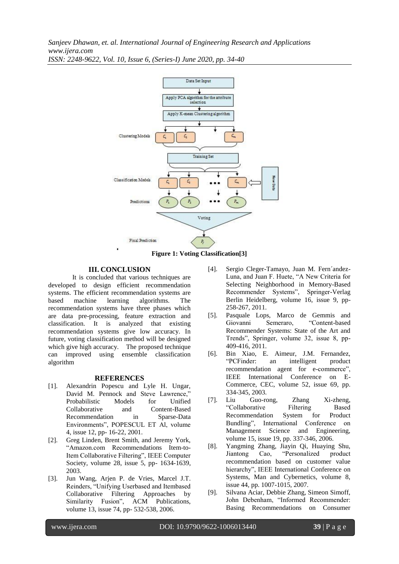*Sanjeev Dhawan, et. al. International Journal of Engineering Research and Applications www.ijera.com ISSN: 2248-9622, Vol. 10, Issue 6, (Series-I) June 2020, pp. 34-40*



**Figure 1: Voting Classification[3]**

#### **III. CONCLUSION**

It is concluded that various techniques are developed to design efficient recommendation systems. The efficient recommendation systems are based machine learning algorithms. The recommendation systems have three phases which are data pre-processing, feature extraction and classification. It is analyzed that existing recommendation systems give low accuracy. In future, voting classification method will be designed which give high accuracy. The proposed technique can improved using ensemble classification algorithm

#### **REFERENCES**

- [1]. Alexandrin Popescu and Lyle H. Ungar, David M. Pennock and Steve Lawrence," Probabilistic Models for Unified Collaborative and Content-Based Recommendation in Sparse-Data Environments", POPESCUL ET Al, volume 4, issue 12, pp- 16-22, 2001.
- [2]. Greg Linden, Brent Smith, and Jeremy York, "Amazon.com Recommendations Item-to-Item Collaborative Filtering", IEEE Computer Society, volume 28, issue 5, pp- 1634-1639, 2003.
- [3]. Jun Wang, Arjen P. de Vries, Marcel J.T. Reinders, "Unifying Userbased and Itembased Collaborative Filtering Approaches by Similarity Fusion", ACM Publications, volume 13, issue 74, pp- 532-538, 2006.
- [4]. Sergio Cleger-Tamayo, Juan M. Fern´andez-Luna, and Juan F. Huete, "A New Criteria for Selecting Neighborhood in Memory-Based Recommender Systems", Springer-Verlag Berlin Heidelberg, volume 16, issue 9, pp-258-267, 2011.
- [5]. Pasquale Lops, Marco de Gemmis and Giovanni Semeraro, "Content-based Recommender Systems: State of the Art and Trends", Springer, volume 32, issue 8, pp-409-416, 2011.
- [6]. Bin Xiao, E. Aimeur, J.M. Fernandez, "PCFinder: an intelligent product recommendation agent for e-commerce", IEEE International Conference on E-Commerce, CEC, volume 52, issue 69, pp. 334-345, 2003.
- [7]. Liu Guo-rong, Zhang Xi-zheng, "Collaborative Filtering Based Recommendation System for Product Bundling", International Conference on Management Science and Engineering, volume 15, issue 19, pp. 337-346, 2006.
- [8]. Yangming Zhang, Jiayin Qi, Huaying Shu, Jiantong Cao, "Personalized product recommendation based on customer value hierarchy", IEEE International Conference on Systems, Man and Cybernetics, volume 8, issue 44, pp. 1007-1015, 2007.
- [9]. Silvana Aciar, Debbie Zhang, Simeon Simoff, John Debenham, "Informed Recommender: Basing Recommendations on Consumer